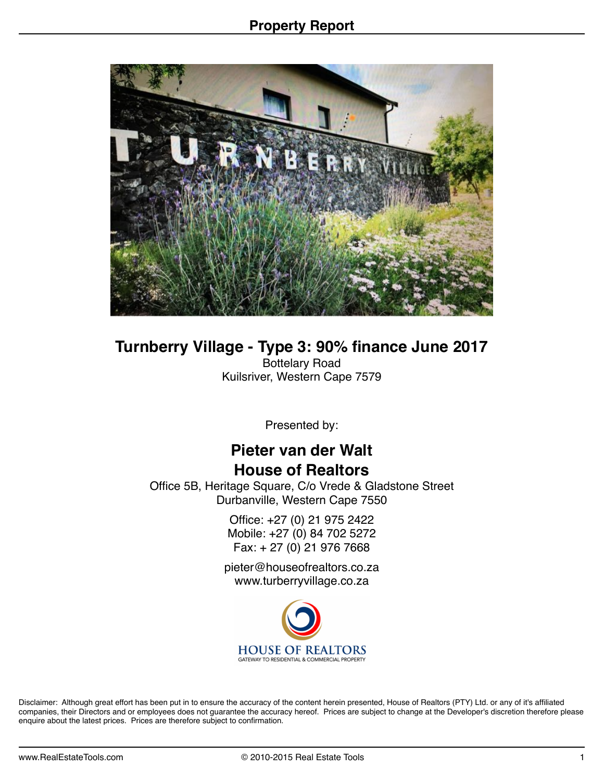

**Turnberry Village - Type 3: 90% finance June 2017** Bottelary Road Kuilsriver, Western Cape 7579

Presented by:

# **Pieter van der Walt House of Realtors**

Office 5B, Heritage Square, C/o Vrede & Gladstone Street Durbanville, Western Cape 7550

> Office: +27 (0) 21 975 2422 Mobile: +27 (0) 84 702 5272 Fax: + 27 (0) 21 976 7668

pieter@houseofrealtors.co.za www.turberryvillage.co.za



Disclaimer: Although great effort has been put in to ensure the accuracy of the content herein presented, House of Realtors (PTY) Ltd. or any of it's affiliated companies, their Directors and or employees does not guarantee the accuracy hereof. Prices are subject to change at the Developer's discretion therefore please enquire about the latest prices. Prices are therefore subject to confirmation.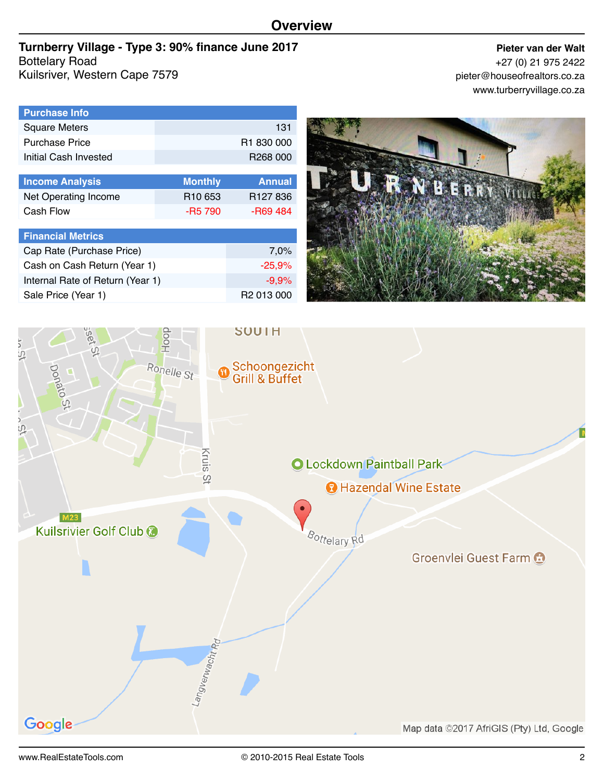# **Overview**

#### **Turnberry Village - Type 3: 90% finance June 2017** Bottelary Road Kuilsriver, Western Cape 7579

**Pieter van der Walt** +27 (0) 21 975 2422

pieter@houseofrealtors.co.za www.turberryvillage.co.za

ζĹ,

پي



| <b>Purchase Info</b>   |                |                        |  |
|------------------------|----------------|------------------------|--|
| <b>Square Meters</b>   |                | 131                    |  |
| <b>Purchase Price</b>  |                | R <sub>1</sub> 830 000 |  |
| Initial Cash Invested  |                | R268 000               |  |
|                        |                |                        |  |
| <b>Income Analysis</b> | <b>Monthly</b> | <b>Annual</b>          |  |
| Net Onerating Income   | <b>R10 653</b> | R <sub>127</sub> 836   |  |

SOUTH

| <b>INCONIC MIRRYSIS</b>  | <b>IVIOLILITY</b>   | Alliudi              |
|--------------------------|---------------------|----------------------|
| Net Operating Income     | R <sub>10</sub> 653 | R <sub>127</sub> 836 |
| Cash Flow                | -R5 790             | -R69 484             |
|                          |                     |                      |
| <b>Financial Metrics</b> |                     |                      |
|                          |                     |                      |

| Cap Rate (Purchase Price)        | 7.0%                   |
|----------------------------------|------------------------|
| Cash on Cash Return (Year 1)     | $-25.9\%$              |
| Internal Rate of Return (Year 1) | $-9.9%$                |
| Sale Price (Year 1)              | R <sub>2</sub> 013 000 |
|                                  |                        |

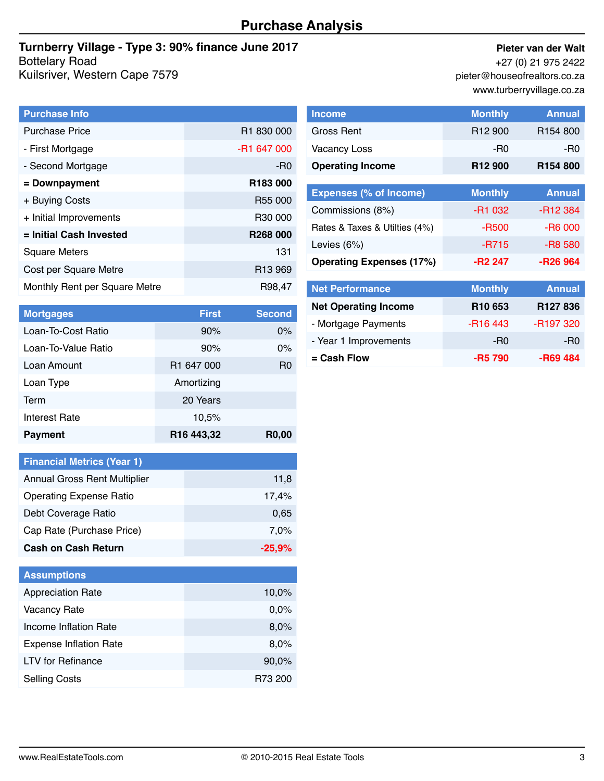# **Purchase Analysis**

## **Turnberry Village - Type 3: 90% finance June 2017** Bottelary Road

Kuilsriver, Western Cape 7579

| <b>Purchase Info</b>          |                        |
|-------------------------------|------------------------|
| <b>Purchase Price</b>         | R <sub>1</sub> 830 000 |
| - First Mortgage              | -R1 647 000            |
| - Second Mortgage             | -R <sub>0</sub>        |
| = Downpayment                 | R <sub>183</sub> 000   |
| + Buying Costs                | R <sub>55</sub> 000    |
| + Initial Improvements        | R <sub>30</sub> 000    |
| = Initial Cash Invested       | R <sub>268</sub> 000   |
| <b>Square Meters</b>          | 131                    |
| Cost per Square Metre         | R <sub>13</sub> 969    |
| Monthly Rent per Square Metre | R98,47                 |
|                               |                        |

#### **Pieter van der Walt**

+27 (0) 21 975 2422 pieter@houseofrealtors.co.za www.turberryvillage.co.za

| <b>Income</b>           | <b>Monthly</b>      | <b>Annual</b>        |
|-------------------------|---------------------|----------------------|
| Gross Rent              | R <sub>12</sub> 900 | R <sub>154</sub> 800 |
| <b>Vacancy Loss</b>     | -R0                 | -R0                  |
| <b>Operating Income</b> | R <sub>12</sub> 900 | R <sub>154</sub> 800 |

| <b>Expenses (% of Income)</b>   | <b>Monthly</b> | <b>Annual</b> |
|---------------------------------|----------------|---------------|
| Commissions (8%)                | -R1 032        | -R12 384      |
| Rates & Taxes & Utilties (4%)   | -R500          | -R6 000       |
| Levies $(6%)$                   | $-R715$        | -R8 580       |
| <b>Operating Expenses (17%)</b> | $-R2247$       | $-R26964$     |

| <b>Net Performance</b>      | <b>Monthly</b>      | <b>Annual</b>         |
|-----------------------------|---------------------|-----------------------|
| <b>Net Operating Income</b> | R <sub>10</sub> 653 | R <sub>127</sub> 836  |
| - Mortgage Payments         | -R16 443            | -R <sub>197</sub> 320 |
| - Year 1 Improvements       | -R0                 | -R0                   |
| = Cash Flow                 | -R5 790             | -R69 484              |

| <b>Mortgages</b>     | <b>First</b>           | <b>Second</b>  |
|----------------------|------------------------|----------------|
| Loan-To-Cost Ratio   | 90%                    | $0\%$          |
| Loan-To-Value Ratio  | 90%                    | $0\%$          |
| Loan Amount          | R <sub>1</sub> 647 000 | R <sub>0</sub> |
| Loan Type            | Amortizing             |                |
| Term                 | 20 Years               |                |
| <b>Interest Rate</b> | 10,5%                  |                |
| <b>Payment</b>       | R <sub>16</sub> 443,32 | R0,00          |

| <b>Financial Metrics (Year 1)</b>   |           |
|-------------------------------------|-----------|
| <b>Annual Gross Rent Multiplier</b> | 11,8      |
| <b>Operating Expense Ratio</b>      | 17.4%     |
| Debt Coverage Ratio                 | 0.65      |
| Cap Rate (Purchase Price)           | $7.0\%$   |
| <b>Cash on Cash Return</b>          | $-25.9\%$ |

| <b>Assumptions</b>            |         |
|-------------------------------|---------|
| <b>Appreciation Rate</b>      | 10,0%   |
| Vacancy Rate                  | $0.0\%$ |
| Income Inflation Rate         | 8,0%    |
| <b>Expense Inflation Rate</b> | 8.0%    |
| <b>LTV</b> for Refinance      | 90,0%   |
| <b>Selling Costs</b>          | R73 200 |
|                               |         |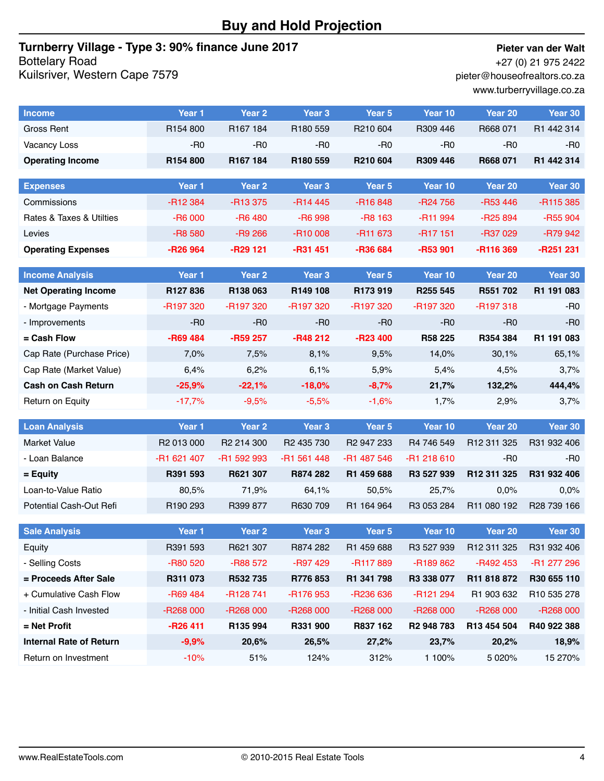### **Buy and Hold Projection**

#### **Turnberry Village - Type 3: 90% finance June 2017** Bottelary Road

Kuilsriver, Western Cape 7579

#### **Pieter van der Walt**

+27 (0) 21 975 2422 pieter@houseofrealtors.co.za www.turberryvillage.co.za

| <b>Income</b>                  | Year 1      | Year <sub>2</sub>    | Year <sub>3</sub>    | Year 5               | Year 10                | Year 20     | Year 30         |
|--------------------------------|-------------|----------------------|----------------------|----------------------|------------------------|-------------|-----------------|
| Gross Rent                     | R154 800    | R <sub>167</sub> 184 | R <sub>180</sub> 559 | R210 604             | R309 446               | R668 071    | R1 442 314      |
| Vacancy Loss                   | $-R0$       | $-R0$                | -R <sub>0</sub>      | $-R0$                | $-R0$                  | -R0         | -R0             |
| <b>Operating Income</b>        | R154 800    | R167 184             | R180 559             | R210 604             | R309 446               | R668 071    | R1 442 314      |
|                                |             |                      |                      |                      |                        |             |                 |
| <b>Expenses</b>                | Year 1      | Year 2               | Year <sub>3</sub>    | Year 5               | Year 10                | Year 20     | Year 30         |
| Commissions                    | -R12 384    | -R13 375             | $-R14445$            | -R <sub>16</sub> 848 | -R24 756               | -R53 446    | -R115 385       |
| Rates & Taxes & Utilties       | $-$ R6 000  | $-R6480$             | $-$ R6 998           | $-R8163$             | -R11 994               | $-R25894$   | -R55 904        |
| Levies                         | $-R8580$    | $-R9266$             | $-R10008$            | -R11 673             | -R17 151               | -R37 029    | -R79 942        |
| <b>Operating Expenses</b>      | -R26 964    | -R29 121             | $-R31451$            | -R36 684             | $-R53901$              | -R116 369   | -R251 231       |
| <b>Income Analysis</b>         | Year 1      | Year 2               | Year <sub>3</sub>    | Year 5               | Year 10                | Year 20     | Year 30         |
| <b>Net Operating Income</b>    | R127836     | R138 063             | R149 108             | R173 919             | R255 545               | R551 702    | R1 191 083      |
| - Mortgage Payments            | -R197 320   | -R197 320            | -R197 320            | -R197 320            | -R <sub>197</sub> 320  | -R197 318   | $-R0$           |
| - Improvements                 | $-R0$       | $-R0$                | $-R0$                | $-R0$                | $-R0$                  | $-R0$       | -R <sub>0</sub> |
| = Cash Flow                    | -R69 484    | -R59 257             | $-R48212$            | $-R23400$            | R58 225                | R354 384    | R1 191 083      |
| Cap Rate (Purchase Price)      | 7,0%        | 7,5%                 | 8,1%                 | 9,5%                 | 14,0%                  | 30,1%       | 65,1%           |
| Cap Rate (Market Value)        | 6,4%        | 6,2%                 | 6,1%                 | 5,9%                 | 5,4%                   | 4,5%        | 3,7%            |
| <b>Cash on Cash Return</b>     | $-25,9%$    | $-22,1%$             | $-18,0%$             | $-8,7%$              | 21,7%                  | 132,2%      | 444,4%          |
| Return on Equity               | $-17,7%$    | $-9,5%$              | $-5,5%$              | $-1,6%$              | 1,7%                   | 2,9%        | 3,7%            |
|                                |             |                      |                      |                      |                        |             |                 |
| <b>Loan Analysis</b>           | Year 1      | Year 2               | Year <sub>3</sub>    | Year <sub>5</sub>    | Year 10                | Year 20     | Year 30         |
| <b>Market Value</b>            | R2 013 000  | R2 214 300           | R2 435 730           | R2 947 233           | R4 746 549             | R12 311 325 | R31 932 406     |
| - Loan Balance                 | -R1 621 407 | -R1 592 993          | -R1 561 448          | -R1 487 546          | -R1 218 610            | $-R0$       | $-R0$           |
| = Equity                       | R391 593    | R621 307             | R874 282             | R1 459 688           | R3 527 939             | R12 311 325 | R31 932 406     |
| Loan-to-Value Ratio            | 80,5%       | 71,9%                | 64,1%                | 50,5%                | 25,7%                  | 0,0%        | 0,0%            |
| Potential Cash-Out Refi        | R190 293    | R399 877             | R630 709             | R1 164 964           | R3 053 284             | R11 080 192 | R28 739 166     |
| <b>Sale Analysis</b>           | Year 1      | Year <sub>2</sub>    | Year <sub>3</sub>    | Year <sub>5</sub>    | Year 10                | Year 20     | Year 30         |
| Equity                         | R391 593    | R621 307             | R874 282             | R1 459 688           | R3 527 939             | R12 311 325 | R31 932 406     |
| - Selling Costs                | -R80 520    | -R88 572             | -R97 429             | -R117 889            | -R189 862              | -R492 453   | -R1 277 296     |
| = Proceeds After Sale          | R311 073    | R532 735             | R776 853             | R1 341 798           | R3 338 077             | R11 818 872 | R30 655 110     |
| + Cumulative Cash Flow         | -R69 484    | -R128741             | -R176 953            | -R236 636            | -R121 294              | R1 903 632  | R10 535 278     |
| - Initial Cash Invested        | -R268 000   | -R268 000            | $-R268000$           | -R268 000            | -R268 000              | -R268 000   | -R268 000       |
| $=$ Net Profit                 | -R26 411    | R135 994             | R331 900             | R837 162             | R <sub>2</sub> 948 783 | R13 454 504 | R40 922 388     |
| <b>Internal Rate of Return</b> | $-9,9%$     | 20,6%                | 26,5%                | 27,2%                | 23,7%                  | 20,2%       | 18,9%           |
| Return on Investment           | $-10%$      | 51%                  | 124%                 | 312%                 | 1 100%                 | 5 0 20%     | 15 270%         |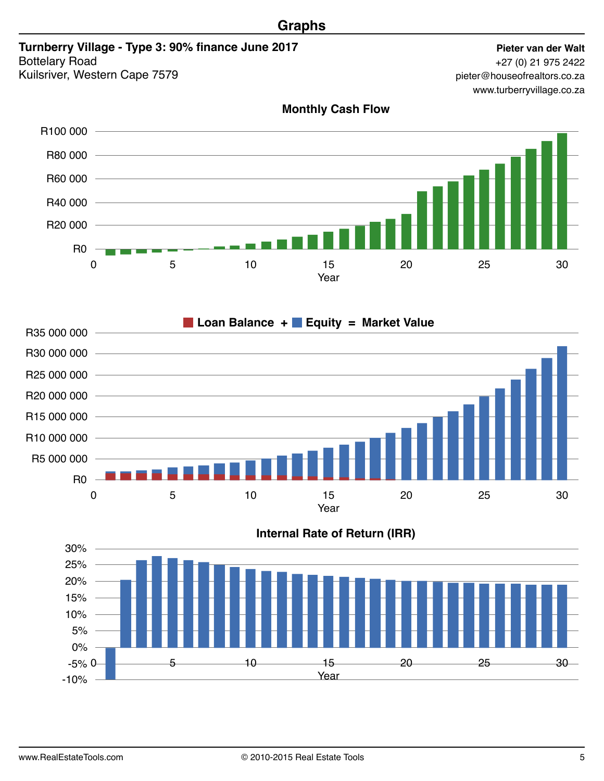### **Graphs**

### **Turnberry Village - Type 3: 90% finance June 2017** Bottelary Road

Kuilsriver, Western Cape 7579

**Pieter van der Walt** +27 (0) 21 975 2422 pieter@houseofrealtors.co.za www.turberryvillage.co.za

 $R100000 -$ R80 000  $R60000 R40000 -$ R20 000  $\blacksquare$  $R0 -$ \_\_\_\_\_\_\_\_ 25 0 5 10 15 20 30 Year

25  $R30 000 000 R25000000 R20 000 000 R15000000 R10 000 000 R5000000 R35000000 RO =$ 0 5 10 15 20 30 Year **Loan Balance + Equity = Market Value**



**Monthly Cash Flow**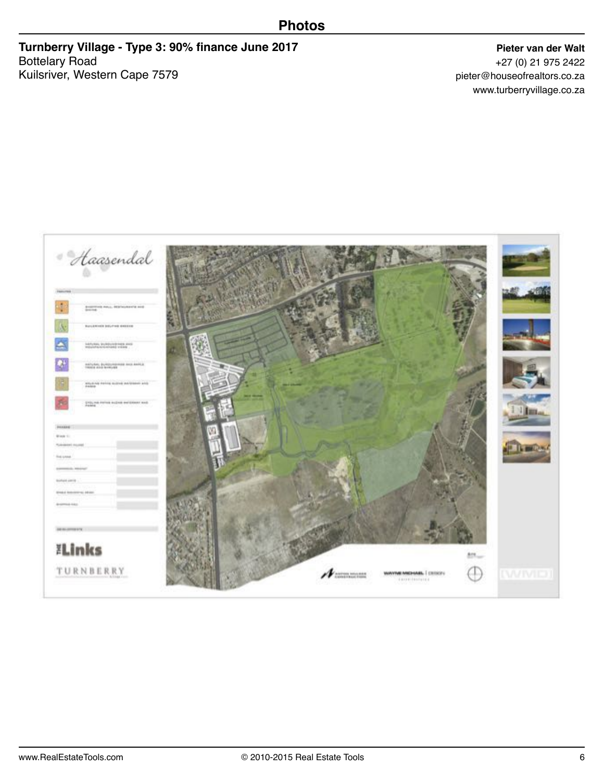#### **Photos**

**Turnberry Village - Type 3: 90% finance June 2017** Bottelary Road Kuilsriver, Western Cape 7579

**Pieter van der Walt** +27 (0) 21 975 2422 pieter@houseofrealtors.co.za www.turberryvillage.co.za

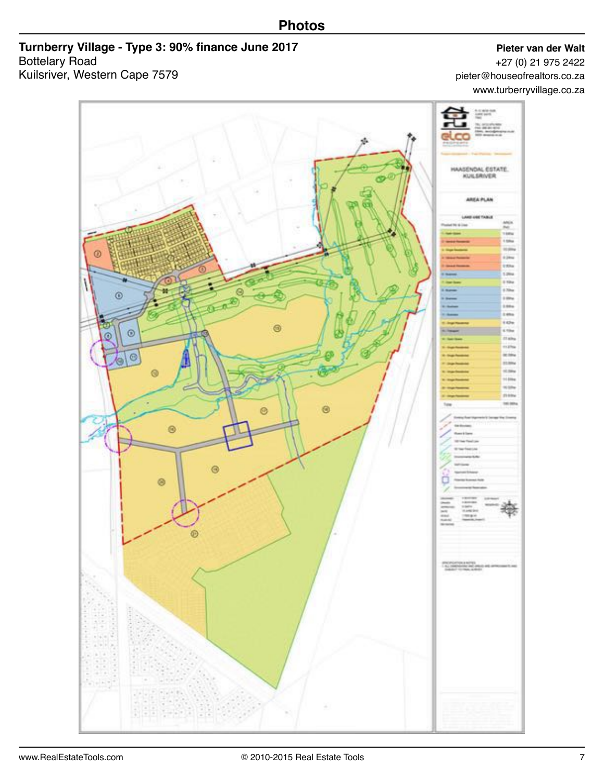### **Photos**

**Turnberry Village - Type 3: 90% finance June 2017** Bottelary Road Kuilsriver, Western Cape 7579

**Pieter van der Walt**

+27 (0) 21 975 2422 pieter@houseofrealtors.co.za www.turberryvillage.co.za